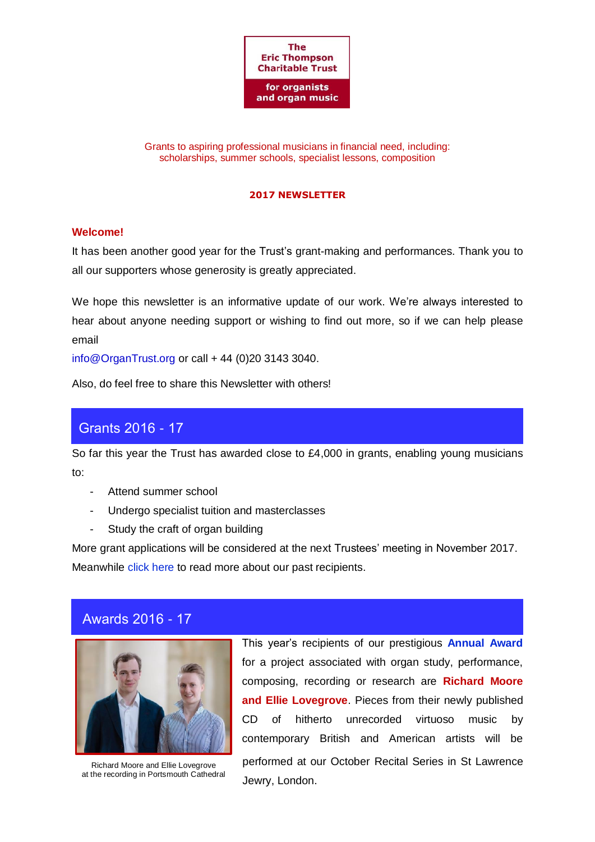

Grants to aspiring professional musicians in financial need, including: scholarships, summer schools, specialist lessons, composition

#### **2017 NEWSLETTER**

### **Welcome!**

It has been another good year for the Trust's grant-making and performances. Thank you to all our supporters whose generosity is greatly appreciated.

We hope this newsletter is an informative update of our work. We're always interested to hear about anyone needing support or wishing to find out more, so if we can help please email

[info@OrganTrust.org](mailto:info@OrganTrust.org) or call + 44 (0)20 3143 3040.

Also, do feel free to share this Newsletter with others!

# Grants 2016 - 17

So far this year the Trust has awarded close to £4,000 in grants, enabling young musicians to:

- Attend summer school
- Undergo specialist tuition and masterclasses
- Study the craft of organ building

More grant applications will be considered at the next Trustees' meeting in November 2017. Meanwhile [click here](https://royalphilharmonicsociety.org.uk/performers/instrumentalists/thompson/past_ett_1) to read more about our past recipients.

# Awards 2016 - 17



Richard Moore and Ellie Lovegrove at the recording in Portsmouth Cathedral This year's recipients of our prestigious **[Annual Award](https://royalphilharmonicsociety.org.uk/performers/instrumentalists/thompson/annual_award1)** for a project associated with organ study, performance, composing, recording or research are **Richard Moore and Ellie Lovegrove**. Pieces from their newly published CD of hitherto unrecorded virtuoso music by contemporary British and American artists will be performed at our October Recital Series in St Lawrence Jewry, London.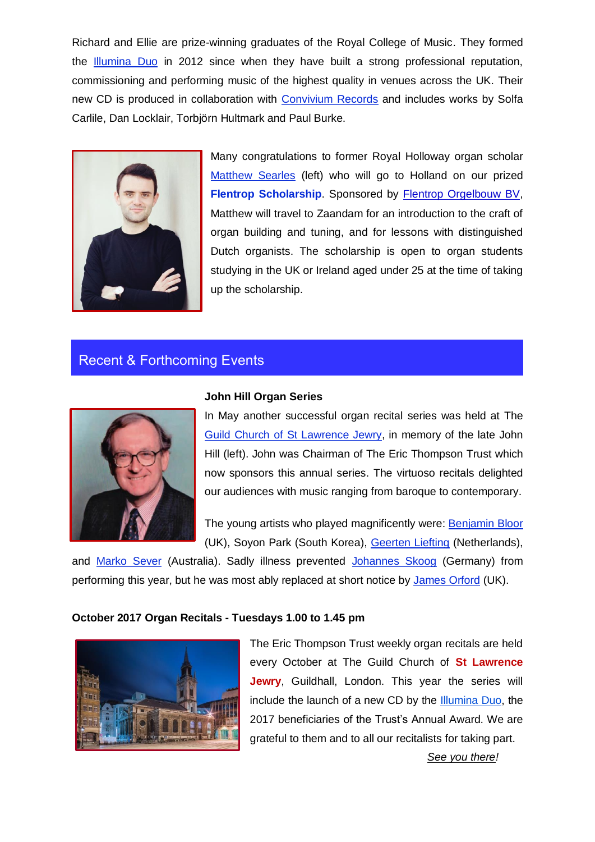Richard and Ellie are prize-winning graduates of the Royal College of Music. They formed the [Illumina Duo](http://www.illumina.london/) in 2012 since when they have built a strong professional reputation, commissioning and performing music of the highest quality in venues across the UK. Their new CD is produced in collaboration with [Convivium Records](http://www.conviviumrecords.co.uk/) and includes works by Solfa Carlile, Dan Locklair, Torbjörn Hultmark and Paul Burke.



Many congratulations to former Royal Holloway organ scholar [Matthew Searles](http://www.matthewsearles.co.uk/about/) (left) who will go to Holland on our prized **Flentrop [Scholarship](https://royalphilharmonicsociety.org.uk/performers/instrumentalists/thompson/flentrop)**. Sponsored by [Flentrop Orgelbouw BV,](http://www.flentrop.nl/indexuk.html) Matthew will travel to Zaandam for an introduction to the craft of organ building and tuning, and for lessons with distinguished Dutch organists. The scholarship is open to organ students studying in the UK or Ireland aged under 25 at the time of taking up the scholarship.

## Recent & Forthcoming Events



#### **John Hill Organ Series**

In May another successful organ recital series was held at The [Guild Church of St Lawrence Jewry,](http://stlawrencejewry.org.uk/music/john-hill-memorial-series/john-hill-memorial-2017-series.php) in memory of the late John Hill (left). John was Chairman of The Eric Thompson Trust which now sponsors this annual series. The virtuoso recitals delighted our audiences with music ranging from baroque to contemporary.

The young artists who played magnificently were: [Benjamin Bloor](http://www.benbloor.com/) (UK), Soyon Park (South Korea), [Geerten Liefting](http://www.geertenliefting.com/cv/) (Netherlands),

and [Marko Sever](https://www.facebook.com/marko.sever.75) (Australia). Sadly illness prevented [Johannes Skoog](https://www.facebook.com/skoogorganist) (Germany) from performing this year, but he was most ably replaced at short notice by [James Orford](https://www.facebook.com/a.rod.dave) (UK).

### **October 2017 Organ Recitals - Tuesdays 1.00 to 1.45 pm**



The Eric Thompson Trust weekly organ recitals are held every October at The Guild Church of **St Lawrence Jewry**, Guildhall, London. This year the series will include the launch of a new CD by the [Illumina](http://www.illumina.london/) Duo, the 2017 beneficiaries of the Trust's Annual Award. We are grateful to them and to all our recitalists for taking part.

*See you there!*